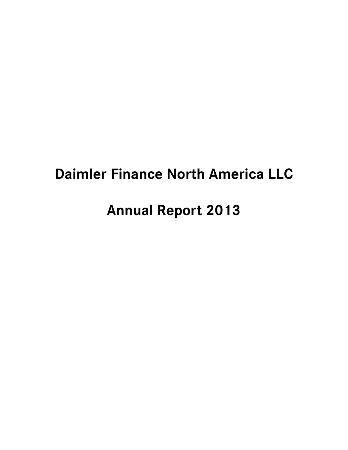# **Daimler Finance North America LLC**

# **Annual Report 2013**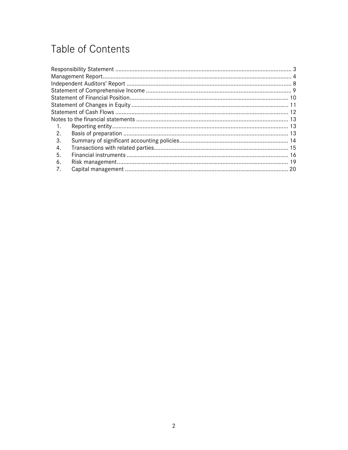# Table of Contents

| 2. |  |    |  |  |  |
|----|--|----|--|--|--|
| 3. |  |    |  |  |  |
| 4. |  |    |  |  |  |
| 5. |  |    |  |  |  |
| 6. |  |    |  |  |  |
|    |  | 20 |  |  |  |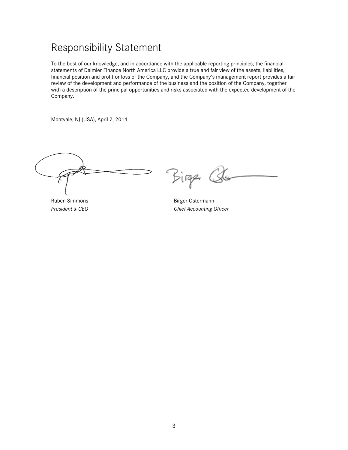# Responsibility Statement

To the best of our knowledge, and in accordance with the applicable reporting principles, the financial statements of Daimler Finance North America LLC provide a true and fair view of the assets, liabilities, financial position and profit or loss of the Company, and the Company's management report provides a fair review of the development and performance of the business and the position of the Company, together with a description of the principal opportunities and risks associated with the expected development of the Company.

Montvale, NJ (USA), April 2, 2014

Birge (S

Ruben Simmons and Birger Ostermann **President & CEO** Chief Accounting Officer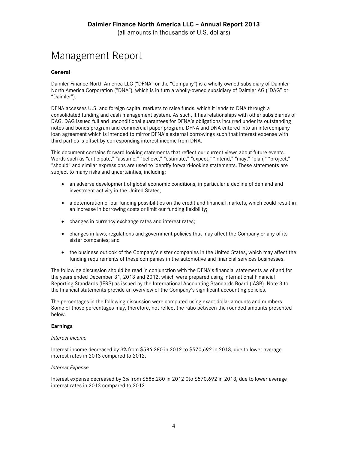(all amounts in thousands of U.S. dollars)

# Management Report

#### **General**

Daimler Finance North America LLC ("DFNA" or the "Company") is a wholly-owned subsidiary of Daimler North America Corporation ("DNA"), which is in turn a wholly-owned subsidiary of Daimler AG ("DAG" or "Daimler").

DFNA accesses U.S. and foreign capital markets to raise funds, which it lends to DNA through a consolidated funding and cash management system. As such, it has relationships with other subsidiaries of DAG. DAG issued full and unconditional guarantees for DFNA's obligations incurred under its outstanding notes and bonds program and commercial paper program. DFNA and DNA entered into an intercompany loan agreement which is intended to mirror DFNA's external borrowings such that interest expense with third parties is offset by corresponding interest income from DNA.

This document contains forward looking statements that reflect our current views about future events. Words such as "anticipate," "assume," "believe," "estimate," "expect," "intend," "may," "plan," "project," "should" and similar expressions are used to identify forward-looking statements. These statements are subject to many risks and uncertainties, including:

- an adverse development of global economic conditions, in particular a decline of demand and investment activity in the United States;
- a deterioration of our funding possibilities on the credit and financial markets, which could result in an increase in borrowing costs or limit our funding flexibility;
- changes in currency exchange rates and interest rates;
- changes in laws, regulations and government policies that may affect the Company or any of its sister companies; and
- the business outlook of the Company's sister companies in the United States, which may affect the funding requirements of these companies in the automotive and financial services businesses.

The following discussion should be read in conjunction with the DFNA's financial statements as of and for the years ended December 31, 2013 and 2012, which were prepared using International Financial Reporting Standards (IFRS) as issued by the International Accounting Standards Board (IASB). Note 3 to the financial statements provide an overview of the Company's significant accounting policies.

The percentages in the following discussion were computed using exact dollar amounts and numbers. Some of those percentages may, therefore, not reflect the ratio between the rounded amounts presented below.

#### **Earnings**

#### *Interest Income*

Interest income decreased by 3% from \$586,280 in 2012 to \$570,692 in 2013, due to lower average interest rates in 2013 compared to 2012.

#### *Interest Expense*

Interest expense decreased by 3% from \$586,280 in 2012 0to \$570,692 in 2013, due to lower average interest rates in 2013 compared to 2012.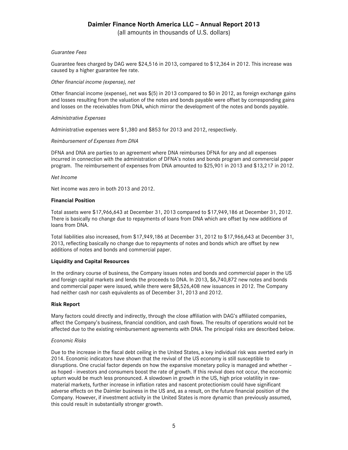(all amounts in thousands of U.S. dollars)

#### *Guarantee Fees*

Guarantee fees charged by DAG were \$24,516 in 2013, compared to \$12,364 in 2012. This increase was caused by a higher guarantee fee rate.

#### *Other financial income (expense), net*

Other financial income (expense), net was \$(5) in 2013 compared to \$0 in 2012, as foreign exchange gains and losses resulting from the valuation of the notes and bonds payable were offset by corresponding gains and losses on the receivables from DNA, which mirror the development of the notes and bonds payable.

#### *Administrative Expenses*

Administrative expenses were \$1,380 and \$853 for 2013 and 2012, respectively.

#### *Reimbursement of Expenses from DNA*

DFNA and DNA are parties to an agreement where DNA reimburses DFNA for any and all expenses incurred in connection with the administration of DFNA's notes and bonds program and commercial paper program. The reimbursement of expenses from DNA amounted to \$25,901 in 2013 and \$13,217 in 2012.

#### *Net Income*

Net income was zero in both 2013 and 2012.

#### **Financial Position**

Total assets were \$17,966,643 at December 31, 2013 compared to \$17,949,186 at December 31, 2012. There is basically no change due to repayments of loans from DNA which are offset by new additions of loans from DNA.

Total liabilities also increased, from \$17,949,186 at December 31, 2012 to \$17,966,643 at December 31, 2013, reflecting basically no change due to repayments of notes and bonds which are offset by new additions of notes and bonds and commercial paper.

#### **Liquidity and Capital Resources**

In the ordinary course of business, the Company issues notes and bonds and commercial paper in the US and foreign capital markets and lends the proceeds to DNA. In 2013, \$6,740,872 new notes and bonds and commercial paper were issued, while there were \$8,526,408 new issuances in 2012. The Company had neither cash nor cash equivalents as of December 31, 2013 and 2012.

#### **Risk Report**

Many factors could directly and indirectly, through the close affiliation with DAG's affiliated companies, affect the Company's business, financial condition, and cash flows. The results of operations would not be affected due to the existing reimbursement agreements with DNA. The principal risks are described below.

#### *Economic Risks*

Due to the increase in the fiscal debt ceiling in the United States, a key individual risk was averted early in 2014. Economic indicators have shown that the revival of the US economy is still susceptible to disruptions. One crucial factor depends on how the expansive monetary policy is managed and whether – as hoped - investors and consumers boost the rate of growth. If this revival does not occur, the economic upturn would be much less pronounced. A slowdown in growth in the US, high price volatility in rawmaterial markets, further increase in inflation rates and nascent protectionism could have significant adverse effects on the Daimler business in the US and, as a result, on the future financial position of the Company. However, if investment activity in the United States is more dynamic than previously assumed, this could result in substantially stronger growth.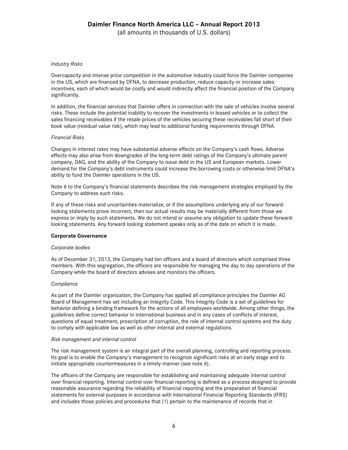(all amounts in thousands of U.S. dollars)

#### *Industry Risks*

Overcapacity and intense price competition in the automotive industry could force the Daimler companies in the US, which are financed by DFNA, to decrease production, reduce capacity or increase sales incentives, each of which would be costly and would indirectly affect the financial position of the Company significantly.

In addition, the financial services that Daimler offers in connection with the sale of vehicles involve several risks. These include the potential inability to recover the investments in leased vehicles or to collect the sales financing receivables if the resale prices of the vehicles securing these receivables fall short of their book value (residual value risk), which may lead to additional funding requirements through DFNA.

#### *Financial Risks*

Changes in interest rates may have substantial adverse effects on the Company's cash flows. Adverse effects may also arise from downgrades of the long-term debt ratings of the Company's ultimate parent company, DAG, and the ability of the Company to issue debt in the US and European markets. Lower demand for the Company's debt instruments could increase the borrowing costs or otherwise limit DFNA's ability to fund the Daimler operations in the US.

Note 6 to the Company's financial statements describes the risk management strategies employed by the Company to address such risks.

If any of these risks and uncertainties materialize, or if the assumptions underlying any of our forwardlooking statements prove incorrect, then our actual results may be materially different from those we express or imply by such statements. We do not intend or assume any obligation to update these forwardlooking statements. Any forward looking statement speaks only as of the date on which it is made.

#### **Corporate Governance**

#### *Corporate bodies*

As of December 31, 2013, the Company had ten officers and a board of directors which comprised three members. With this segregation, the officers are responsible for managing the day to day operations of the Company while the board of directors advises and monitors the officers.

#### *Compliance*

As part of the Daimler organization, the Company has applied all compliance principles the Daimler AG Board of Management has set including an Integrity Code. This Integrity Code is a set of guidelines for behavior defining a binding framework for the actions of all employees worldwide. Among other things, the guidelines define correct behavior in international business and in any cases of conflicts of interest, questions of equal treatment, proscription of corruption, the role of internal control systems and the duty to comply with applicable law as well as other internal and external regulations.

#### *Risk management and internal control*

The risk management system is an integral part of the overall planning, controlling and reporting process. Its goal is to enable the Company's management to recognize significant risks at an early stage and to initiate appropriate countermeasures in a timely manner (see note 6).

The officers of the Company are responsible for establishing and maintaining adequate internal control over financial reporting. Internal control over financial reporting is defined as a process designed to provide reasonable assurance regarding the reliability of financial reporting and the preparation of financial statements for external purposes in accordance with International Financial Reporting Standards (IFRS) and includes those policies and procedures that (1) pertain to the maintenance of records that in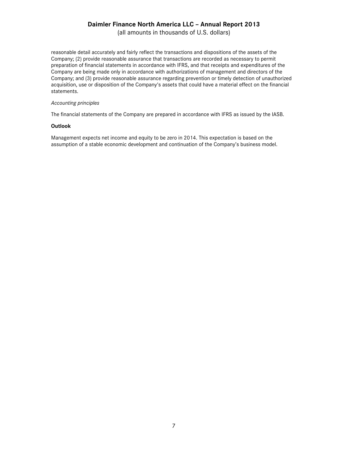(all amounts in thousands of U.S. dollars)

reasonable detail accurately and fairly reflect the transactions and dispositions of the assets of the Company; (2) provide reasonable assurance that transactions are recorded as necessary to permit preparation of financial statements in accordance with IFRS, and that receipts and expenditures of the Company are being made only in accordance with authorizations of management and directors of the Company; and (3) provide reasonable assurance regarding prevention or timely detection of unauthorized acquisition, use or disposition of the Company's assets that could have a material effect on the financial statements.

#### *Accounting principles*

The financial statements of the Company are prepared in accordance with IFRS as issued by the IASB.

#### **Outlook**

Management expects net income and equity to be zero in 2014. This expectation is based on the assumption of a stable economic development and continuation of the Company's business model.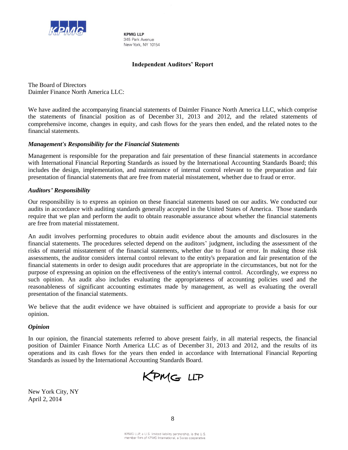

**KPMG IIP** 345 Park Avenue New York, NY 10154

#### **Independent Auditors' Report**

The Board of Directors Daimler Finance North America LLC:

We have audited the accompanying financial statements of Daimler Finance North America LLC, which comprise the statements of financial position as of December 31, 2013 and 2012, and the related statements of comprehensive income, changes in equity, and cash flows for the years then ended, and the related notes to the financial statements.

# *Management's Responsibility for the Financial Statements*

Management is responsible for the preparation and fair presentation of these financial statements in accordance with International Financial Reporting Standards as issued by the International Accounting Standards Board; this includes the design, implementation, and maintenance of internal control relevant to the preparation and fair presentation of financial statements that are free from material misstatement, whether due to fraud or error.

#### *Auditors' Responsibility*

Our responsibility is to express an opinion on these financial statements based on our audits. We conducted our audits in accordance with auditing standards generally accepted in the United States of America. Those standards require that we plan and perform the audit to obtain reasonable assurance about whether the financial statements are free from material misstatement.

An audit involves performing procedures to obtain audit evidence about the amounts and disclosures in the financial statements. The procedures selected depend on the auditors' judgment, including the assessment of the risks of material misstatement of the financial statements, whether due to fraud or error. In making those risk assessments, the auditor considers internal control relevant to the entity's preparation and fair presentation of the financial statements in order to design audit procedures that are appropriate in the circumstances, but not for the purpose of expressing an opinion on the effectiveness of the entity's internal control. Accordingly, we express no such opinion. An audit also includes evaluating the appropriateness of accounting policies used and the reasonableness of significant accounting estimates made by management, as well as evaluating the overall presentation of the financial statements.

We believe that the audit evidence we have obtained is sufficient and appropriate to provide a basis for our opinion.

# *Opinion*

In our opinion, the financial statements referred to above present fairly, in all material respects, the financial position of Daimler Finance North America LLC as of December 31, 2013 and 2012, and the results of its operations and its cash flows for the years then ended in accordance with International Financial Reporting Standards as issued by the International Accounting Standards Board.



New York City, NY April 2, 2014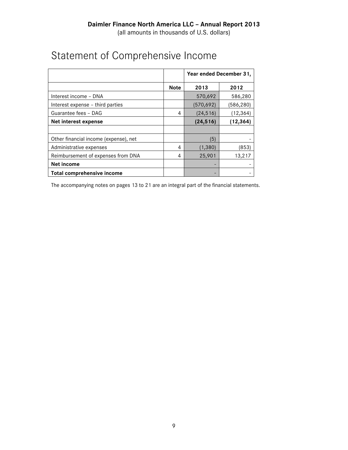|                                       |             | Year ended December 31, |            |  |
|---------------------------------------|-------------|-------------------------|------------|--|
|                                       | <b>Note</b> | 2013                    | 2012       |  |
| Interest income - DNA                 |             | 570,692                 | 586,280    |  |
| Interest expense – third parties      |             | (570,692)               | (586, 280) |  |
| Guarantee fees - DAG                  | 4           | (24, 516)               | (12, 364)  |  |
| Net interest expense                  |             | (24, 516)               | (12, 364)  |  |
|                                       |             |                         |            |  |
| Other financial income (expense), net |             | (5)                     |            |  |
| Administrative expenses               | 4           | (1, 380)                | (853)      |  |
| Reimbursement of expenses from DNA    | 4           | 25,901                  | 13,217     |  |
| <b>Net income</b>                     |             |                         |            |  |
| <b>Total comprehensive income</b>     |             |                         |            |  |

# Statement of Comprehensive Income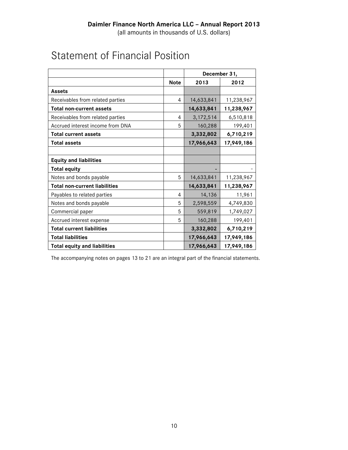|                                      |             | December 31, |            |  |
|--------------------------------------|-------------|--------------|------------|--|
|                                      | <b>Note</b> | 2013         | 2012       |  |
| <b>Assets</b>                        |             |              |            |  |
| Receivables from related parties     | 4           | 14,633,841   | 11,238,967 |  |
| <b>Total non-current assets</b>      |             | 14,633,841   | 11,238,967 |  |
| Receivables from related parties     | 4           | 3, 172, 514  | 6,510,818  |  |
| Accrued interest income from DNA     | 5           | 160,288      | 199,401    |  |
| <b>Total current assets</b>          |             | 3,332,802    | 6,710,219  |  |
| <b>Total assets</b>                  |             | 17,966,643   | 17,949,186 |  |
|                                      |             |              |            |  |
| <b>Equity and liabilities</b>        |             |              |            |  |
| <b>Total equity</b>                  |             |              |            |  |
| Notes and bonds payable              | 5           | 14,633,841   | 11,238,967 |  |
| <b>Total non-current liabilities</b> |             | 14,633,841   | 11,238,967 |  |
| Payables to related parties          | 4           | 14,136       | 11,961     |  |
| Notes and bonds payable              | 5           | 2,598,559    | 4,749,830  |  |
| Commercial paper                     | 5           | 559,819      | 1,749,027  |  |
| Accrued interest expense             | 5           | 160,288      | 199,401    |  |
| <b>Total current liabilities</b>     |             | 3,332,802    | 6,710,219  |  |
| <b>Total liabilities</b>             |             | 17,966,643   | 17,949,186 |  |
| <b>Total equity and liabilities</b>  |             | 17,966,643   | 17,949,186 |  |

# Statement of Financial Position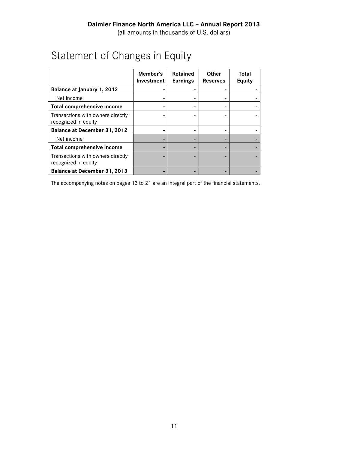# Statement of Changes in Equity

|                                                           | Member's<br>Investment | Retained<br><b>Earnings</b> | <b>Other</b><br><b>Reserves</b> | Total<br>Equity |
|-----------------------------------------------------------|------------------------|-----------------------------|---------------------------------|-----------------|
| Balance at January 1, 2012                                |                        |                             |                                 |                 |
| Net income                                                |                        |                             |                                 |                 |
| <b>Total comprehensive income</b>                         |                        |                             |                                 |                 |
| Transactions with owners directly<br>recognized in equity |                        |                             |                                 |                 |
| Balance at December 31, 2012                              |                        |                             |                                 |                 |
| Net income                                                |                        |                             |                                 |                 |
| <b>Total comprehensive income</b>                         |                        |                             |                                 |                 |
| Transactions with owners directly<br>recognized in equity |                        |                             |                                 |                 |
| Balance at December 31, 2013                              |                        |                             |                                 |                 |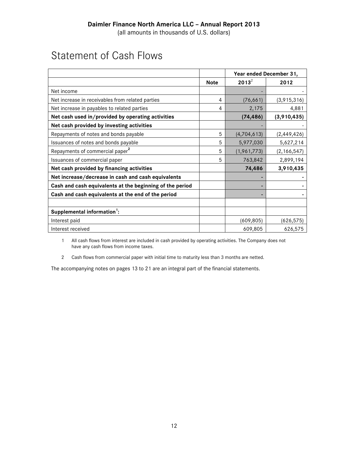# Statement of Cash Flows

|                                                          |             | Year ended December 31, |               |
|----------------------------------------------------------|-------------|-------------------------|---------------|
|                                                          | <b>Note</b> | $2013^2$                | 2012          |
| Net income                                               |             |                         |               |
| Net increase in receivables from related parties         | 4           | (76, 661)               | (3,915,316)   |
| Net increase in payables to related parties              | 4           | 2,175                   | 4,881         |
| Net cash used in/provided by operating activities        |             | (74, 486)               | (3,910,435)   |
| Net cash provided by investing activities                |             |                         |               |
| Repayments of notes and bonds payable                    | 5           | (4,704,613)             | (2,449,426)   |
| Issuances of notes and bonds payable                     | 5           | 5,977,030               | 5,627,214     |
| Repayments of commercial paper <sup>2</sup>              | 5           | (1,961,773)             | (2, 166, 547) |
| Issuances of commercial paper                            | 5           | 763,842                 | 2,899,194     |
| Net cash provided by financing activities                |             | 74,486                  | 3,910,435     |
| Net increase/decrease in cash and cash equivalents       |             |                         |               |
| Cash and cash equivalents at the beginning of the period |             |                         |               |
| Cash and cash equivalents at the end of the period       |             |                         |               |
|                                                          |             |                         |               |
| Supplemental information <sup>1</sup> :                  |             |                         |               |
| Interest paid                                            |             | (609, 805)              | (626, 575)    |
| Interest received                                        |             | 609,805                 | 626,575       |

1 All cash flows from interest are included in cash provided by operating activities. The Company does not have any cash flows from income taxes.

2 Cash flows from commercial paper with initial time to maturity less than 3 months are netted.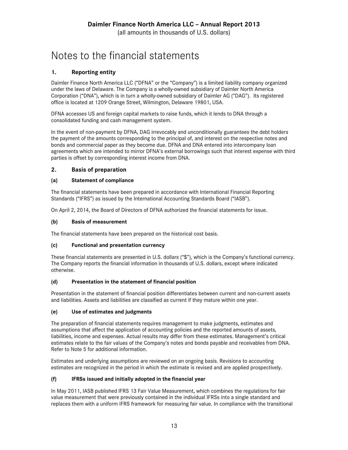# Notes to the financial statements

# **1. Reporting entity**

Daimler Finance North America LLC ("DFNA" or the "Company") is a limited liability company organized under the laws of Delaware. The Company is a wholly-owned subsidiary of Daimler North America Corporation ("DNA"), which is in turn a wholly-owned subsidiary of Daimler AG ("DAG"). Its registered office is located at 1209 Orange Street, Wilmington, Delaware 19801, USA.

DFNA accesses US and foreign capital markets to raise funds, which it lends to DNA through a consolidated funding and cash management system.

In the event of non-payment by DFNA, DAG irrevocably and unconditionally guarantees the debt holders the payment of the amounts corresponding to the principal of, and interest on the respective notes and bonds and commercial paper as they become due. DFNA and DNA entered into intercompany loan agreements which are intended to mirror DFNA's external borrowings such that interest expense with third parties is offset by corresponding interest income from DNA.

# **2. Basis of preparation**

# **(a) Statement of compliance**

The financial statements have been prepared in accordance with International Financial Reporting Standards ("IFRS") as issued by the International Accounting Standards Board ("IASB").

On April 2, 2014, the Board of Directors of DFNA authorized the financial statements for issue.

# **(b) Basis of measurement**

The financial statements have been prepared on the historical cost basis.

# **(c) Functional and presentation currency**

These financial statements are presented in U.S. dollars ("\$"), which is the Company's functional currency. The Company reports the financial information in thousands of U.S. dollars, except where indicated otherwise.

# **(d) Presentation in the statement of financial position**

Presentation in the statement of financial position differentiates between current and non-current assets and liabilities. Assets and liabilities are classified as current if they mature within one year.

# **(e) Use of estimates and judgments**

The preparation of financial statements requires management to make judgments, estimates and assumptions that affect the application of accounting policies and the reported amounts of assets, liabilities, income and expenses. Actual results may differ from these estimates. Management's critical estimates relate to the fair values of the Company's notes and bonds payable and receivables from DNA. Refer to Note 5 for additional information.

Estimates and underlying assumptions are reviewed on an ongoing basis. Revisions to accounting estimates are recognized in the period in which the estimate is revised and are applied prospectively.

# **(f) IFRSs issued and initially adopted in the financial year**

In May 2011, IASB published IFRS 13 Fair Value Measurement, which combines the regulations for fair value measurement that were previously contained in the individual IFRSs into a single standard and replaces them with a uniform IFRS framework for measuring fair value. In compliance with the transitional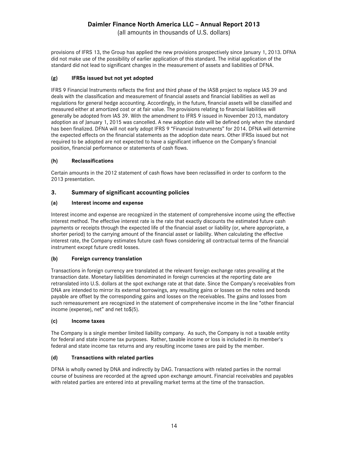(all amounts in thousands of U.S. dollars)

provisions of IFRS 13, the Group has applied the new provisions prospectively since January 1, 2013. DFNA did not make use of the possibility of earlier application of this standard. The initial application of the standard did not lead to significant changes in the measurement of assets and liabilities of DFNA.

# **(g) IFRSs issued but not yet adopted**

IFRS 9 Financial Instruments reflects the first and third phase of the IASB project to replace IAS 39 and deals with the classification and measurement of financial assets and financial liabilities as well as regulations for general hedge accounting. Accordingly, in the future, financial assets will be classified and measured either at amortized cost or at fair value. The provisions relating to financial liabilities will generally be adopted from IAS 39. With the amendment to IFRS 9 issued in November 2013, mandatory adoption as of January 1, 2015 was cancelled. A new adoption date will be defined only when the standard has been finalized. DFNA will not early adopt IFRS 9 "Financial Instruments" for 2014. DFNA will determine the expected effects on the financial statements as the adoption date nears. Other IFRSs issued but not required to be adopted are not expected to have a significant influence on the Company's financial position, financial performance or statements of cash flows.

# **(h) Reclassifications**

Certain amounts in the 2012 statement of cash flows have been reclassified in order to conform to the 2013 presentation.

# **3. Summary of significant accounting policies**

# **(a) Interest income and expense**

Interest income and expense are recognized in the statement of comprehensive income using the effective interest method. The effective interest rate is the rate that exactly discounts the estimated future cash payments or receipts through the expected life of the financial asset or liability (or, where appropriate, a shorter period) to the carrying amount of the financial asset or liability. When calculating the effective interest rate, the Company estimates future cash flows considering all contractual terms of the financial instrument except future credit losses.

# **(b) Foreign currency translation**

Transactions in foreign currency are translated at the relevant foreign exchange rates prevailing at the transaction date. Monetary liabilities denominated in foreign currencies at the reporting date are retranslated into U.S. dollars at the spot exchange rate at that date. Since the Company's receivables from DNA are intended to mirror its external borrowings, any resulting gains or losses on the notes and bonds payable are offset by the corresponding gains and losses on the receivables. The gains and losses from such remeasurement are recognized in the statement of comprehensive income in the line "other financial income (expense), net" and net to\$(5).

# **(c) Income taxes**

The Company is a single member limited liability company. As such, the Company is not a taxable entity for federal and state income tax purposes. Rather, taxable income or loss is included in its member's federal and state income tax returns and any resulting income taxes are paid by the member.

# **(d) Transactions with related parties**

DFNA is wholly owned by DNA and indirectly by DAG. Transactions with related parties in the normal course of business are recorded at the agreed upon exchange amount. Financial receivables and payables with related parties are entered into at prevailing market terms at the time of the transaction.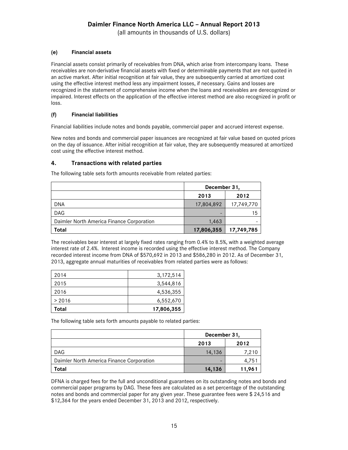(all amounts in thousands of U.S. dollars)

# **(e) Financial assets**

Financial assets consist primarily of receivables from DNA, which arise from intercompany loans. These receivables are non-derivative financial assets with fixed or determinable payments that are not quoted in an active market. After initial recognition at fair value, they are subsequently carried at amortized cost using the effective interest method less any impairment losses, if necessary. Gains and losses are recognized in the statement of comprehensive income when the loans and receivables are derecognized or impaired. Interest effects on the application of the effective interest method are also recognized in profit or loss.

# **(f) Financial liabilities**

Financial liabilities include notes and bonds payable, commercial paper and accrued interest expense.

New notes and bonds and commercial paper issuances are recognized at fair value based on quoted prices on the day of issuance. After initial recognition at fair value, they are subsequently measured at amortized cost using the effective interest method.

# **4. Transactions with related parties**

The following table sets forth amounts receivable from related parties:

|                                           | December 31              |            |  |
|-------------------------------------------|--------------------------|------------|--|
|                                           | 2012<br>2013             |            |  |
| <b>DNA</b>                                | 17,804,892               | 17,749,770 |  |
| DAG.                                      | -                        | 15         |  |
| Daimler North America Finance Corporation | 1,463                    |            |  |
| Total                                     | 17,806,355<br>17,749,785 |            |  |

The receivables bear interest at largely fixed rates ranging from 0.4% to 8.5%, with a weighted average interest rate of 2.4%. Interest income is recorded using the effective interest method. The Company recorded interest income from DNA of \$570,692 in 2013 and \$586,280 in 2012. As of December 31, 2013, aggregate annual maturities of receivables from related parties were as follows:

| 2014   | 3, 172, 514 |
|--------|-------------|
| 2015   | 3,544,816   |
| 2016   | 4,536,355   |
| > 2016 | 6,552,670   |
| Total  | 17,806,355  |

The following table sets forth amounts payable to related parties:

|                                           | December 31. |                    |  |
|-------------------------------------------|--------------|--------------------|--|
|                                           | 2012<br>2013 |                    |  |
| <b>DAG</b>                                | 14,136       | 7,210              |  |
| Daimler North America Finance Corporation | -            | .75                |  |
| Total                                     | 14,136       | 11.96 <sup>.</sup> |  |

DFNA is charged fees for the full and unconditional guarantees on its outstanding notes and bonds and commercial paper programs by DAG. These fees are calculated as a set percentage of the outstanding notes and bonds and commercial paper for any given year. These guarantee fees were \$ 24,516 and \$12,364 for the years ended December 31, 2013 and 2012, respectively.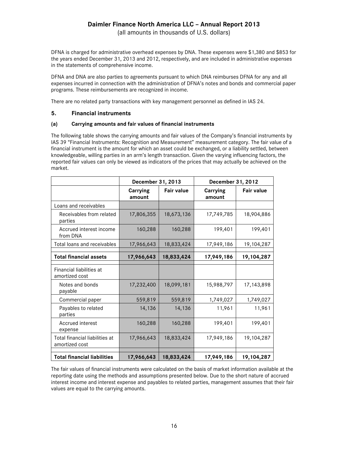(all amounts in thousands of U.S. dollars)

DFNA is charged for administrative overhead expenses by DNA. These expenses were \$1,380 and \$853 for the years ended December 31, 2013 and 2012, respectively, and are included in administrative expenses in the statements of comprehensive income.

DFNA and DNA are also parties to agreements pursuant to which DNA reimburses DFNA for any and all expenses incurred in connection with the administration of DFNA's notes and bonds and commercial paper programs. These reimbursements are recognized in income.

There are no related party transactions with key management personnel as defined in IAS 24.

#### **5. Financial instruments**

#### **(a) Carrying amounts and fair values of financial instruments**

The following table shows the carrying amounts and fair values of the Company's financial instruments by IAS 39 "Financial Instruments: Recognition and Measurement" measurement category. The fair value of a financial instrument is the amount for which an asset could be exchanged, or a liability settled, between knowledgeable, willing parties in an arm's length transaction. Given the varying influencing factors, the reported fair values can only be viewed as indicators of the prices that may actually be achieved on the market.

|                                                  | December 31, 2013         |            | December 31, 2012         |                   |  |
|--------------------------------------------------|---------------------------|------------|---------------------------|-------------------|--|
|                                                  | <b>Carrying</b><br>amount | Fair value | <b>Carrying</b><br>amount | <b>Fair value</b> |  |
| Loans and receivables                            |                           |            |                           |                   |  |
| Receivables from related<br>parties              | 17,806,355                | 18,673,136 | 17,749,785                | 18,904,886        |  |
| Accrued interest income<br>from DNA              | 160,288                   | 160,288    | 199,401                   | 199,401           |  |
| Total loans and receivables                      | 17,966,643                | 18,833,424 | 17,949,186                | 19,104,287        |  |
| <b>Total financial assets</b>                    | 17,966,643                | 18,833,424 | 17,949,186                | 19,104,287        |  |
| Financial liabilities at<br>amortized cost       |                           |            |                           |                   |  |
| Notes and bonds<br>payable                       | 17,232,400                | 18,099,181 | 15,988,797                | 17, 143, 898      |  |
| Commercial paper                                 | 559,819                   | 559,819    | 1,749,027                 | 1,749,027         |  |
| Payables to related<br>parties                   | 14,136                    | 14,136     | 11,961                    | 11,961            |  |
| Accrued interest<br>expense                      | 160,288                   | 160,288    | 199,401                   | 199,401           |  |
| Total financial liabilities at<br>amortized cost | 17,966,643                | 18,833,424 | 17,949,186                | 19,104,287        |  |
| <b>Total financial liabilities</b>               | 17,966,643                | 18,833,424 | 17,949,186                | 19,104,287        |  |

The fair values of financial instruments were calculated on the basis of market information available at the reporting date using the methods and assumptions presented below. Due to the short nature of accrued interest income and interest expense and payables to related parties, management assumes that their fair values are equal to the carrying amounts.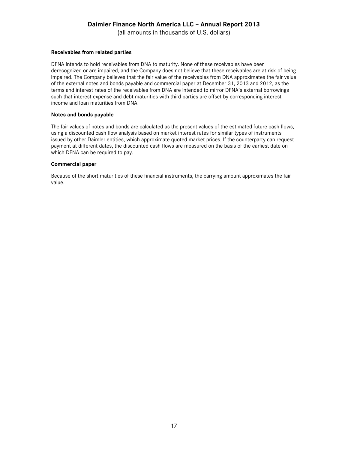(all amounts in thousands of U.S. dollars)

#### **Receivables from related parties**

DFNA intends to hold receivables from DNA to maturity. None of these receivables have been derecognized or are impaired, and the Company does not believe that these receivables are at risk of being impaired. The Company believes that the fair value of the receivables from DNA approximates the fair value of the external notes and bonds payable and commercial paper at December 31, 2013 and 2012, as the terms and interest rates of the receivables from DNA are intended to mirror DFNA's external borrowings such that interest expense and debt maturities with third parties are offset by corresponding interest income and loan maturities from DNA.

#### **Notes and bonds payable**

The fair values of notes and bonds are calculated as the present values of the estimated future cash flows, using a discounted cash flow analysis based on market interest rates for similar types of instruments issued by other Daimler entities, which approximate quoted market prices. If the counterparty can request payment at different dates, the discounted cash flows are measured on the basis of the earliest date on which DFNA can be required to pay.

#### **Commercial paper**

Because of the short maturities of these financial instruments, the carrying amount approximates the fair value.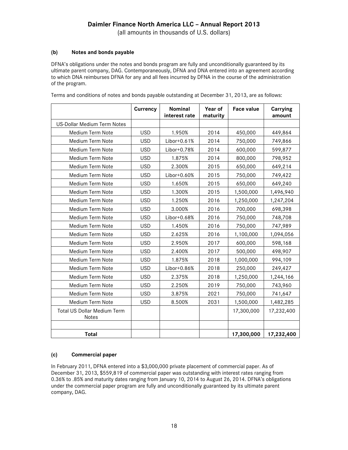(all amounts in thousands of U.S. dollars)

#### **(b) Notes and bonds payable**

DFNA's obligations under the notes and bonds program are fully and unconditionally guaranteed by its ultimate parent company, DAG. Contemporaneously, DFNA and DNA entered into an agreement according to which DNA reimburses DFNA for any and all fees incurred by DFNA in the course of the administration of the program.

|                                             | Currency   | Nominal<br>interest rate | Year of<br>maturity | Face value | <b>Carrying</b><br>amount |
|---------------------------------------------|------------|--------------------------|---------------------|------------|---------------------------|
| <b>US-Dollar Medium Term Notes</b>          |            |                          |                     |            |                           |
| Medium Term Note                            | <b>USD</b> | 1.950%                   | 2014                | 450,000    | 449,864                   |
| Medium Term Note                            | <b>USD</b> | Libor+0.61%              | 2014                | 750,000    | 749,866                   |
| Medium Term Note                            | <b>USD</b> | Libor+0.78%              | 2014                | 600,000    | 599,877                   |
| Medium Term Note                            | <b>USD</b> | 1.875%                   | 2014                | 800,000    | 798,952                   |
| Medium Term Note                            | <b>USD</b> | 2.300%                   | 2015                | 650,000    | 649,214                   |
| Medium Term Note                            | <b>USD</b> | Libor+0.60%              | 2015                | 750,000    | 749,422                   |
| Medium Term Note                            | <b>USD</b> | 1.650%                   | 2015                | 650,000    | 649,240                   |
| Medium Term Note                            | <b>USD</b> | 1.300%                   | 2015                | 1,500,000  | 1,496,940                 |
| Medium Term Note                            | <b>USD</b> | 1.250%                   | 2016                | 1,250,000  | 1,247,204                 |
| Medium Term Note                            | <b>USD</b> | 3.000%                   | 2016                | 700,000    | 698,398                   |
| Medium Term Note                            | <b>USD</b> | Libor+0.68%              | 2016                | 750,000    | 748,708                   |
| Medium Term Note                            | <b>USD</b> | 1.450%                   | 2016                | 750,000    | 747,989                   |
| Medium Term Note                            | <b>USD</b> | 2.625%                   | 2016                | 1,100,000  | 1,094,056                 |
| Medium Term Note                            | <b>USD</b> | 2.950%                   | 2017                | 600,000    | 598,168                   |
| Medium Term Note                            | <b>USD</b> | 2.400%                   | 2017                | 500,000    | 498,907                   |
| Medium Term Note                            | <b>USD</b> | 1.875%                   | 2018                | 1,000,000  | 994,109                   |
| Medium Term Note                            | <b>USD</b> | Libor+0.86%              | 2018                | 250,000    | 249,427                   |
| Medium Term Note                            | <b>USD</b> | 2.375%                   | 2018                | 1,250,000  | 1,244,166                 |
| Medium Term Note                            | <b>USD</b> | 2.250%                   | 2019                | 750,000    | 743,960                   |
| Medium Term Note                            | <b>USD</b> | 3.875%                   | 2021                | 750,000    | 741,647                   |
| Medium Term Note                            | <b>USD</b> | 8.500%                   | 2031                | 1,500,000  | 1,482,285                 |
| <b>Total US Dollar Medium Term</b><br>Notes |            |                          |                     | 17,300,000 | 17,232,400                |
|                                             |            |                          |                     |            |                           |
| <b>Total</b>                                |            |                          |                     | 17,300,000 | 17,232,400                |

Terms and conditions of notes and bonds payable outstanding at December 31, 2013, are as follows:

#### **(c) Commercial paper**

In February 2011, DFNA entered into a \$3,000,000 private placement of commercial paper. As of December 31, 2013, \$559,819 of commercial paper was outstanding with interest rates ranging from 0.36% to .85% and maturity dates ranging from January 10, 2014 to August 26, 2014. DFNA's obligations under the commercial paper program are fully and unconditionally guaranteed by its ultimate parent company, DAG.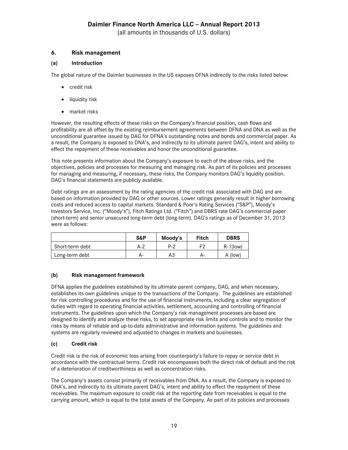(all amounts in thousands of U.S. dollars)

# **6. Risk management**

#### **(a) Introduction**

The global nature of the Daimler businesses in the US exposes DFNA indirectly to the risks listed below:

- credit risk
- liquidity risk
- market risks

However, the resulting effects of these risks on the Company's financial position, cash flows and profitability are all offset by the existing reimbursement agreements between DFNA and DNA as well as the unconditional guarantee issued by DAG for DFNA's outstanding notes and bonds and commercial paper. As a result, the Company is exposed to DNA's, and indirectly to its ultimate parent DAG's, intent and ability to effect the repayment of these receivables and honor the unconditional guarantee.

This note presents information about the Company's exposure to each of the above risks, and the objectives, policies and processes for measuring and managing risk. As part of its policies and processes for managing and measuring, if necessary, these risks, the Company monitors DAG's liquidity position. DAG's financial statements are publicly available.

Debt ratings are an assessment by the rating agencies of the credit risk associated with DAG and are based on information provided by DAG or other sources. Lower ratings generally result in higher borrowing costs and reduced access to capital markets. Standard & Poor's Rating Services ("S&P"), Moody's Investors Service, Inc. ("Moody's"), Fitch Ratings Ltd. ("Fitch") and DBRS rate DAG's commercial paper (short-term) and senior unsecured long-term debt (long-term). DAG's ratings as of December 31, 2013 were as follows:

|                 | S&P | Moody's | <b>Fitch</b> | <b>DBRS</b> |
|-----------------|-----|---------|--------------|-------------|
| Short-term debt | A-2 | P-2     | ドク           | $R-1$ (low) |
| Long-term debt  | А-  | AЗ      | д-           | (low)       |

#### **(b) Risk management framework**

DFNA applies the guidelines established by its ultimate parent company, DAG, and when necessary, establishes its own guidelines unique to the transactions of the Company. The guidelines are established for risk controlling procedures and for the use of financial instruments, including a clear segregation of duties with regard to operating financial activities, settlement, accounting and controlling of financial instruments. The guidelines upon which the Company's risk management processes are based are designed to identify and analyze these risks, to set appropriate risk limits and controls and to monitor the risks by means of reliable and up-to-date administrative and information systems. The guidelines and systems are regularly reviewed and adjusted to changes in markets and businesses.

# **(c) Credit risk**

Credit risk is the risk of economic loss arising from counterparty's failure to repay or service debt in accordance with the contractual terms. Credit risk encompasses both the direct risk of default and the risk of a deterioration of creditworthiness as well as concentration risks.

The Company's assets consist primarily of receivables from DNA. As a result, the Company is exposed to DNA's, and indirectly to its ultimate parent DAG's, intent and ability to effect the repayment of these receivables. The maximum exposure to credit risk at the reporting date from receivables is equal to the carrying amount, which is equal to the total assets of the Company. As part of its policies and processes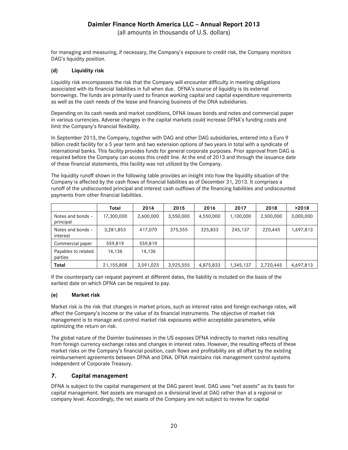(all amounts in thousands of U.S. dollars)

for managing and measuring, if necessary, the Company's exposure to credit risk, the Company monitors DAG's liquidity position.

#### **(d) Liquidity risk**

Liquidity risk encompasses the risk that the Company will encounter difficulty in meeting obligations associated with its financial liabilities in full when due. DFNA's source of liquidity is its external borrowings. The funds are primarily used to finance working capital and capital expenditure requirements as well as the cash needs of the lease and financing business of the DNA subsidiaries.

Depending on its cash needs and market conditions, DFNA issues bonds and notes and commercial paper in various currencies. Adverse changes in the capital markets could increase DFNA's funding costs and limit the Company's financial flexibility.

In September 2013, the Company, together with DAG and other DAG subsidiaries, entered into a Euro 9 billion credit facility for a 5 year term and two extension options of two years in total with a syndicate of international banks. This facility provides funds for general corporate purposes. Prior approval from DAG is required before the Company can access this credit line. At the end of 2013 and through the issuance date of these financial statements, this facility was not utilized by the Company.

The liquidity runoff shown in the following table provides an insight into how the liquidity situation of the Company is affected by the cash flows of financial liabilities as of December 31, 2013. It comprises a runoff of the undiscounted principal and interest cash outflows of the financing liabilities and undiscounted payments from other financial liabilities.

|                                | Total      | 2014      | 2015      | 2016      | 2017      | 2018      | >2018     |
|--------------------------------|------------|-----------|-----------|-----------|-----------|-----------|-----------|
| Notes and bonds -<br>principal | 17,300,000 | 2,600,000 | 3,550,000 | 4,550,000 | 1,100,000 | 2,500,000 | 3,000,000 |
| Notes and bonds -<br>interest  | 3,281,853  | 417,070   | 375,555   | 325,833   | 245,137   | 220,445   | 1,697,813 |
| Commercial paper               | 559,819    | 559,819   |           |           |           |           |           |
| Payables to related<br>parties | 14,136     | 14,136    |           |           |           |           |           |
| Total                          | 21,155,808 | 3,591,025 | 3,925,555 | 4,875,833 | 345,137   | 2,720,445 | 4,697,813 |

If the counterparty can request payment at different dates, the liability is included on the basis of the earliest date on which DFNA can be required to pay.

#### **(e) Market risk**

Market risk is the risk that changes in market prices, such as interest rates and foreign exchange rates, will affect the Company's income or the value of its financial instruments. The objective of market risk management is to manage and control market risk exposures within acceptable parameters, while optimizing the return on risk.

The global nature of the Daimler businesses in the US exposes DFNA indirectly to market risks resulting from foreign currency exchange rates and changes in interest rates. However, the resulting effects of these market risks on the Company's financial position, cash flows and profitability are all offset by the existing reimbursement agreements between DFNA and DNA. DFNA maintains risk management control systems independent of Corporate Treasury.

# **7. Capital management**

DFNA is subject to the capital management at the DAG parent level. DAG uses "net assets" as its basis for capital management. Net assets are managed on a divisional level at DAG rather than at a regional or company level. Accordingly, the net assets of the Company are not subject to review for capital